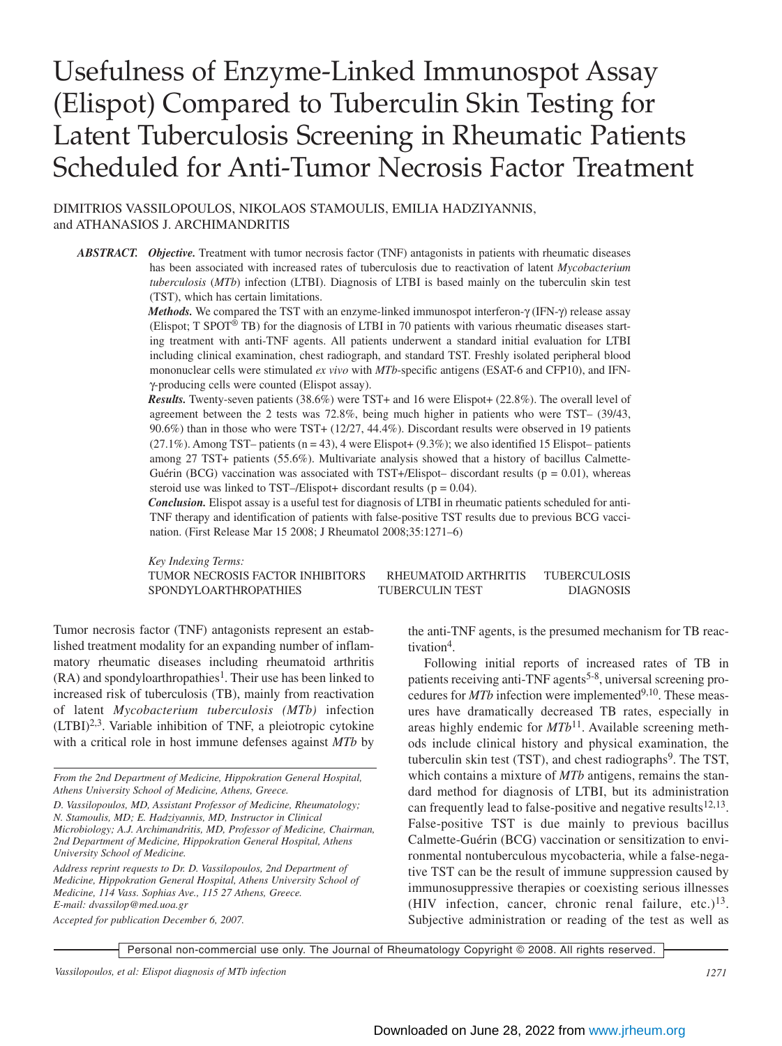# Usefulness of Enzyme-Linked Immunospot Assay (Elispot) Compared to Tuberculin Skin Testing for Latent Tuberculosis Screening in Rheumatic Patients Scheduled for Anti-Tumor Necrosis Factor Treatment

DIMITRIOS VASSILOPOULOS, NIKOLAOS STAMOULIS, EMILIA HADZIYANNIS, and ATHANASIOS J. ARCHIMANDRITIS

*ABSTRACT. Objective.* Treatment with tumor necrosis factor (TNF) antagonists in patients with rheumatic diseases has been associated with increased rates of tuberculosis due to reactivation of latent *Mycobacterium tuberculosis* (*MTb*) infection (LTBI). Diagnosis of LTBI is based mainly on the tuberculin skin test (TST), which has certain limitations.

> *Methods.* We compared the TST with an enzyme-linked immunospot interferon-γ (IFN-γ) release assay (Elispot; T SPOT® TB) for the diagnosis of LTBI in 70 patients with various rheumatic diseases starting treatment with anti-TNF agents. All patients underwent a standard initial evaluation for LTBI including clinical examination, chest radiograph, and standard TST. Freshly isolated peripheral blood mononuclear cells were stimulated *ex vivo* with *MTb*-specific antigens (ESAT-6 and CFP10), and IFNγ-producing cells were counted (Elispot assay).

> *Results.* Twenty-seven patients (38.6%) were TST+ and 16 were Elispot+ (22.8%). The overall level of agreement between the 2 tests was 72.8%, being much higher in patients who were TST– (39/43, 90.6%) than in those who were TST+ (12/27, 44.4%). Discordant results were observed in 19 patients  $(27.1\%)$ . Among TST– patients  $(n = 43)$ , 4 were Elispot+  $(9.3\%)$ ; we also identified 15 Elispot– patients among 27 TST+ patients (55.6%). Multivariate analysis showed that a history of bacillus Calmette-Guérin (BCG) vaccination was associated with  $TST+/E$ lispot–discordant results ( $p = 0.01$ ), whereas steroid use was linked to TST–/Elispot+ discordant results ( $p = 0.04$ ).

> *Conclusion.* Elispot assay is a useful test for diagnosis of LTBI in rheumatic patients scheduled for anti-TNF therapy and identification of patients with false-positive TST results due to previous BCG vaccination. (First Release Mar 15 2008; J Rheumatol 2008;35:1271–6)

*Key Indexing Terms:* TUMOR NECROSIS FACTOR INHIBITORS RHEUMATOID ARTHRITIS TUBERCULOSIS SPONDYLOARTHROPATHIES TUBERCULIN TEST DIAGNOSIS

Tumor necrosis factor (TNF) antagonists represent an established treatment modality for an expanding number of inflammatory rheumatic diseases including rheumatoid arthritis  $(RA)$  and spondyloarthropathies<sup>1</sup>. Their use has been linked to increased risk of tuberculosis (TB), mainly from reactivation of latent *Mycobacterium tuberculosis (MTb)* infection  $(LTBI)<sup>2,3</sup>$ . Variable inhibition of TNF, a pleiotropic cytokine with a critical role in host immune defenses against *MTb* by

*Address reprint requests to Dr. D. Vassilopoulos, 2nd Department of Medicine, Hippokration General Hospital, Athens University School of Medicine, 114 Vass. Sophias Ave., 115 27 Athens, Greece. E-mail: dvassilop@med.uoa.gr*

*Accepted for publication December 6, 2007.*

the anti-TNF agents, is the presumed mechanism for TB reactivation<sup>4</sup>.

Following initial reports of increased rates of TB in patients receiving anti-TNF agents<sup>5-8</sup>, universal screening procedures for *MTb* infection were implemented<sup>9,10</sup>. These measures have dramatically decreased TB rates, especially in areas highly endemic for *MTb*11. Available screening methods include clinical history and physical examination, the tuberculin skin test (TST), and chest radiographs<sup>9</sup>. The TST, which contains a mixture of *MTb* antigens, remains the standard method for diagnosis of LTBI, but its administration can frequently lead to false-positive and negative results<sup>12,13</sup>. False-positive TST is due mainly to previous bacillus Calmette-Guérin (BCG) vaccination or sensitization to environmental nontuberculous mycobacteria, while a false-negative TST can be the result of immune suppression caused by immunosuppressive therapies or coexisting serious illnesses (HIV infection, cancer, chronic renal failure, etc.) $13$ . Subjective administration or reading of the test as well as

Personal non-commercial use only. The Journal of Rheumatology Copyright © 2008. All rights reserved.

*Vassilopoulos, et al: Elispot diagnosis of MTb infection 1271*

*From the 2nd Department of Medicine, Hippokration General Hospital, Athens University School of Medicine, Athens, Greece.*

*D. Vassilopoulos, MD, Assistant Professor of Medicine, Rheumatology; N. Stamoulis, MD; E. Hadziyannis, MD, Instructor in Clinical Microbiology; A.J. Archimandritis, MD, Professor of Medicine, Chairman, 2nd Department of Medicine, Hippokration General Hospital, Athens University School of Medicine.*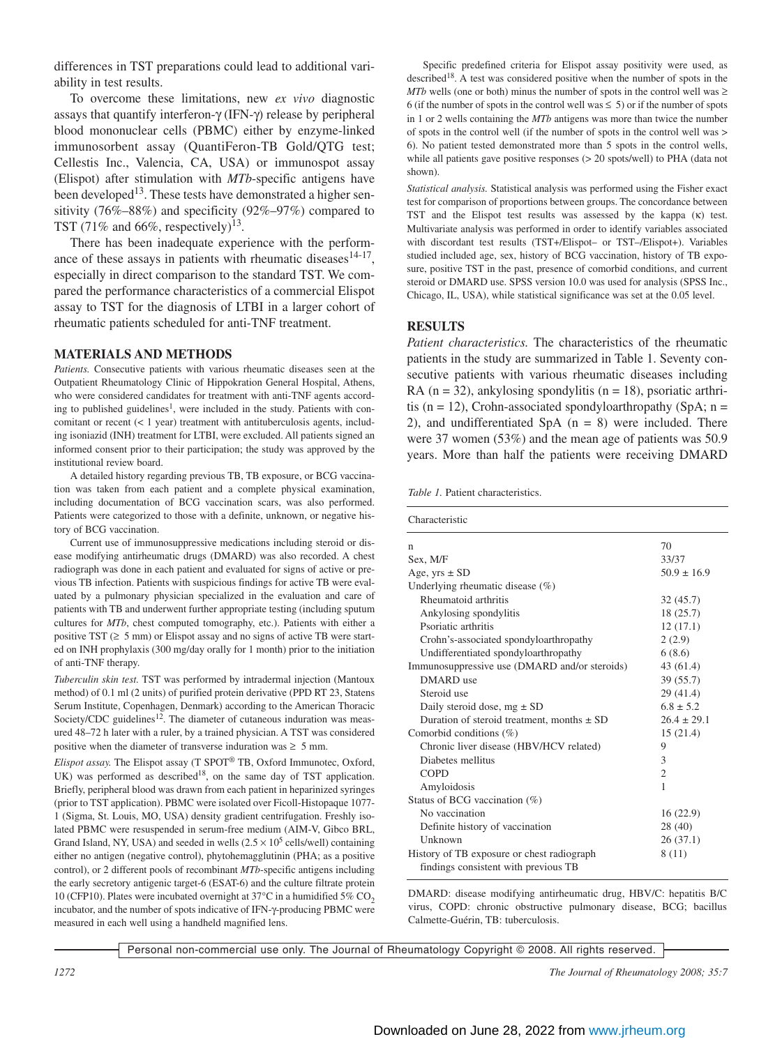differences in TST preparations could lead to additional variability in test results.

To overcome these limitations, new *ex vivo* diagnostic assays that quantify interferon-γ (IFN-γ) release by peripheral blood mononuclear cells (PBMC) either by enzyme-linked immunosorbent assay (QuantiFeron-TB Gold/QTG test; Cellestis Inc., Valencia, CA, USA) or immunospot assay (Elispot) after stimulation with *MTb*-specific antigens have been developed<sup>13</sup>. These tests have demonstrated a higher sensitivity (76%–88%) and specificity (92%–97%) compared to TST (71% and 66%, respectively)<sup>13</sup>.

There has been inadequate experience with the performance of these assays in patients with rheumatic diseases  $14-17$ , especially in direct comparison to the standard TST. We compared the performance characteristics of a commercial Elispot assay to TST for the diagnosis of LTBI in a larger cohort of rheumatic patients scheduled for anti-TNF treatment.

#### **MATERIALS AND METHODS**

*Patients.* Consecutive patients with various rheumatic diseases seen at the Outpatient Rheumatology Clinic of Hippokration General Hospital, Athens, who were considered candidates for treatment with anti-TNF agents according to published guidelines<sup>1</sup>, were included in the study. Patients with concomitant or recent  $(< 1$  year) treatment with antituberculosis agents, including isoniazid (INH) treatment for LTBI, were excluded. All patients signed an informed consent prior to their participation; the study was approved by the institutional review board.

A detailed history regarding previous TB, TB exposure, or BCG vaccination was taken from each patient and a complete physical examination, including documentation of BCG vaccination scars, was also performed. Patients were categorized to those with a definite, unknown, or negative history of BCG vaccination.

Current use of immunosuppressive medications including steroid or disease modifying antirheumatic drugs (DMARD) was also recorded. A chest radiograph was done in each patient and evaluated for signs of active or previous TB infection. Patients with suspicious findings for active TB were evaluated by a pulmonary physician specialized in the evaluation and care of patients with TB and underwent further appropriate testing (including sputum cultures for *MTb*, chest computed tomography, etc.). Patients with either a positive TST (≥ 5 mm) or Elispot assay and no signs of active TB were started on INH prophylaxis (300 mg/day orally for 1 month) prior to the initiation of anti-TNF therapy.

*Tuberculin skin test.* TST was performed by intradermal injection (Mantoux method) of 0.1 ml (2 units) of purified protein derivative (PPD RT 23, Statens Serum Institute, Copenhagen, Denmark) according to the American Thoracic Society/CDC guidelines<sup>12</sup>. The diameter of cutaneous induration was measured 48–72 h later with a ruler, by a trained physician. A TST was considered positive when the diameter of transverse induration was  $\geq 5$  mm.

*Elispot assay.* The Elispot assay (T SPOT® TB, Oxford Immunotec, Oxford, UK) was performed as described<sup>18</sup>, on the same day of TST application. Briefly, peripheral blood was drawn from each patient in heparinized syringes (prior to TST application). PBMC were isolated over Ficoll-Histopaque 1077- 1 (Sigma, St. Louis, MO, USA) density gradient centrifugation. Freshly isolated PBMC were resuspended in serum-free medium (AIM-V, Gibco BRL, Grand Island, NY, USA) and seeded in wells  $(2.5 \times 10^5 \text{ cells/well})$  containing either no antigen (negative control), phytohemagglutinin (PHA; as a positive control), or 2 different pools of recombinant *MTb*-specific antigens including the early secretory antigenic target-6 (ESAT-6) and the culture filtrate protein 10 (CFP10). Plates were incubated overnight at  $37^{\circ}$ C in a humidified  $5\%$  CO<sub>2</sub> incubator, and the number of spots indicative of IFN-γ-producing PBMC were measured in each well using a handheld magnified lens.

Specific predefined criteria for Elispot assay positivity were used, as described<sup>18</sup>. A test was considered positive when the number of spots in the *MTb* wells (one or both) minus the number of spots in the control well was  $\geq$ 6 (if the number of spots in the control well was  $\leq$  5) or if the number of spots in 1 or 2 wells containing the *MTb* antigens was more than twice the number of spots in the control well (if the number of spots in the control well was > 6). No patient tested demonstrated more than 5 spots in the control wells, while all patients gave positive responses (> 20 spots/well) to PHA (data not shown).

*Statistical analysis.* Statistical analysis was performed using the Fisher exact test for comparison of proportions between groups. The concordance between TST and the Elispot test results was assessed by the kappa (κ) test. Multivariate analysis was performed in order to identify variables associated with discordant test results (TST+/Elispot– or TST–/Elispot+). Variables studied included age, sex, history of BCG vaccination, history of TB exposure, positive TST in the past, presence of comorbid conditions, and current steroid or DMARD use. SPSS version 10.0 was used for analysis (SPSS Inc., Chicago, IL, USA), while statistical significance was set at the 0.05 level.

### **RESULTS**

*Patient characteristics.* The characteristics of the rheumatic patients in the study are summarized in Table 1. Seventy consecutive patients with various rheumatic diseases including RA ( $n = 32$ ), ankylosing spondylitis ( $n = 18$ ), psoriatic arthritis ( $n = 12$ ), Crohn-associated spondyloarthropathy (SpA;  $n =$ 2), and undifferentiated SpA  $(n = 8)$  were included. There were 37 women (53%) and the mean age of patients was 50.9 years. More than half the patients were receiving DMARD

*Table 1.* Patient characteristics.

| Characteristic                                 |                 |  |  |
|------------------------------------------------|-----------------|--|--|
| n                                              | 70              |  |  |
| Sex, M/F                                       | 33/37           |  |  |
| Age, $yrs \pm SD$                              | $50.9 \pm 16.9$ |  |  |
| Underlying rheumatic disease $(\%)$            |                 |  |  |
| Rheumatoid arthritis                           | 32(45.7)        |  |  |
| Ankylosing spondylitis                         | 18 (25.7)       |  |  |
| Psoriatic arthritis                            | 12(17.1)        |  |  |
| Crohn's-associated spondyloarthropathy         | 2(2.9)          |  |  |
| Undifferentiated spondyloarthropathy           | 6(8.6)          |  |  |
| Immunosuppressive use (DMARD and/or steroids)  | 43(61.4)        |  |  |
| DMARD use                                      | 39 (55.7)       |  |  |
| Steroid use                                    | 29 (41.4)       |  |  |
| Daily steroid dose, $mg \pm SD$                | $6.8 \pm 5.2$   |  |  |
| Duration of steroid treatment, months $\pm$ SD | $26.4 \pm 29.1$ |  |  |
| Comorbid conditions $(\%)$                     | 15(21.4)        |  |  |
| Chronic liver disease (HBV/HCV related)        | 9               |  |  |
| Diabetes mellitus                              | 3               |  |  |
| <b>COPD</b>                                    | $\overline{c}$  |  |  |
| Amyloidosis                                    | $\mathbf{1}$    |  |  |
| Status of BCG vaccination (%)                  |                 |  |  |
| No vaccination                                 | 16(22.9)        |  |  |
| Definite history of vaccination                | 28(40)          |  |  |
| Unknown                                        | 26 (37.1)       |  |  |
| History of TB exposure or chest radiograph     | 8 (11)          |  |  |
| findings consistent with previous TB           |                 |  |  |

DMARD: disease modifying antirheumatic drug, HBV/C: hepatitis B/C virus, COPD: chronic obstructive pulmonary disease, BCG; bacillus Calmette-Guérin, TB: tuberculosis.

Personal non-commercial use only. The Journal of Rheumatology Copyright © 2008. All rights reserved.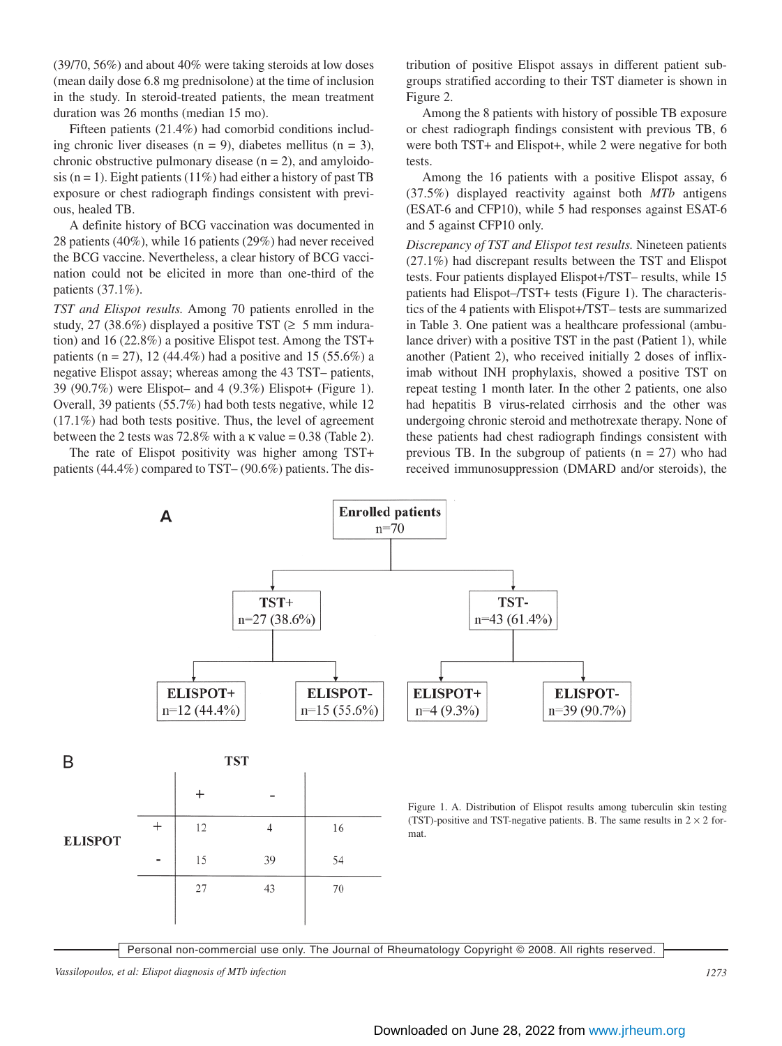(39/70, 56%) and about 40% were taking steroids at low doses (mean daily dose 6.8 mg prednisolone) at the time of inclusion in the study. In steroid-treated patients, the mean treatment duration was 26 months (median 15 mo).

Fifteen patients (21.4%) had comorbid conditions including chronic liver diseases  $(n = 9)$ , diabetes mellitus  $(n = 3)$ , chronic obstructive pulmonary disease  $(n = 2)$ , and amyloidosis (n = 1). Eight patients (11%) had either a history of past TB exposure or chest radiograph findings consistent with previous, healed TB.

A definite history of BCG vaccination was documented in 28 patients (40%), while 16 patients (29%) had never received the BCG vaccine. Nevertheless, a clear history of BCG vaccination could not be elicited in more than one-third of the patients (37.1%).

*TST and Elispot results.* Among 70 patients enrolled in the study, 27 (38.6%) displayed a positive TST ( $\geq$  5 mm induration) and 16 (22.8%) a positive Elispot test. Among the TST+ patients (n = 27), 12 (44.4%) had a positive and 15 (55.6%) a negative Elispot assay; whereas among the 43 TST– patients, 39 (90.7%) were Elispot– and 4 (9.3%) Elispot+ (Figure 1). Overall, 39 patients (55.7%) had both tests negative, while 12 (17.1%) had both tests positive. Thus, the level of agreement between the 2 tests was 72.8% with a  $\kappa$  value = 0.38 (Table 2).

The rate of Elispot positivity was higher among TST+ patients (44.4%) compared to TST– (90.6%) patients. The distribution of positive Elispot assays in different patient subgroups stratified according to their TST diameter is shown in Figure 2.

Among the 8 patients with history of possible TB exposure or chest radiograph findings consistent with previous TB, 6 were both TST+ and Elispot+, while 2 were negative for both tests.

Among the 16 patients with a positive Elispot assay, 6 (37.5%) displayed reactivity against both *MTb* antigens (ESAT-6 and CFP10), while 5 had responses against ESAT-6 and 5 against CFP10 only.

*Discrepancy of TST and Elispot test results.* Nineteen patients (27.1%) had discrepant results between the TST and Elispot tests. Four patients displayed Elispot+/TST– results, while 15 patients had Elispot–/TST+ tests (Figure 1). The characteristics of the 4 patients with Elispot+/TST– tests are summarized in Table 3. One patient was a healthcare professional (ambulance driver) with a positive TST in the past (Patient 1), while another (Patient 2), who received initially 2 doses of infliximab without INH prophylaxis, showed a positive TST on repeat testing 1 month later. In the other 2 patients, one also had hepatitis B virus-related cirrhosis and the other was undergoing chronic steroid and methotrexate therapy. None of these patients had chest radiograph findings consistent with previous TB. In the subgroup of patients  $(n = 27)$  who had received immunosuppression (DMARD and/or steroids), the



Personal non-commercial use only. The Journal of Rheumatology Copyright © 2008. All rights reserved.

*Vassilopoulos, et al: Elispot diagnosis of MTb infection 1273*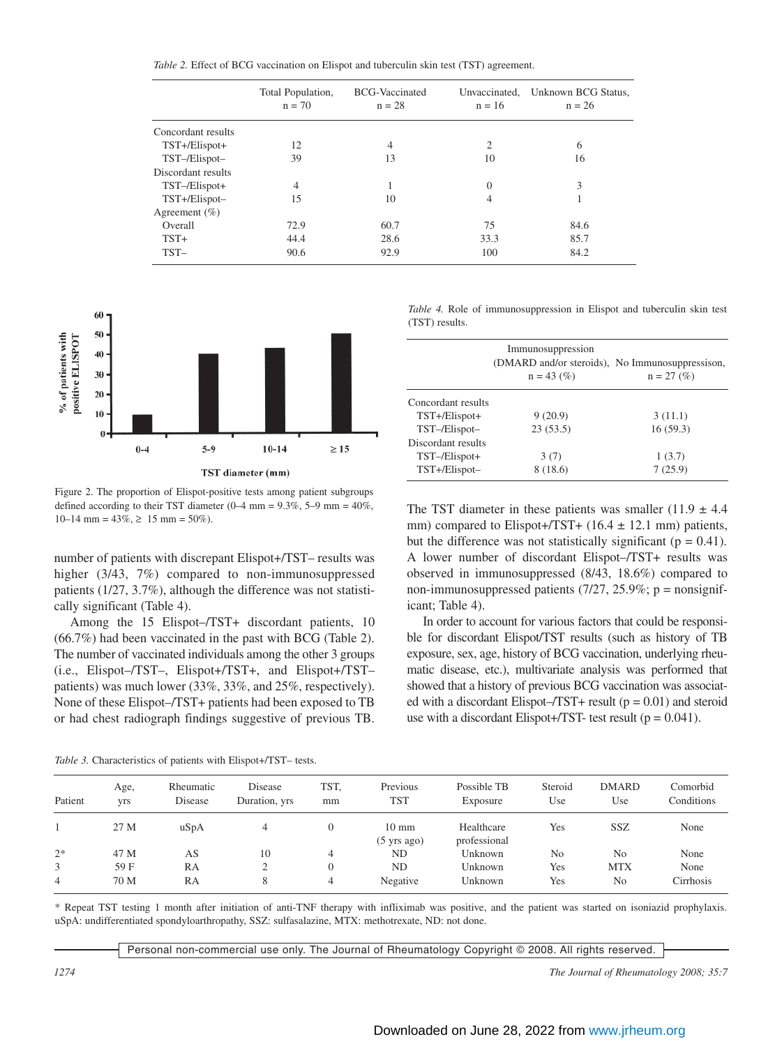*Table 2.* Effect of BCG vaccination on Elispot and tuberculin skin test (TST) agreement.

|                    | Total Population,<br>$n = 70$ | <b>BCG-Vaccinated</b><br>$n = 28$ | $n = 16$       | Unvaccinated, Unknown BCG Status,<br>$n = 26$ |
|--------------------|-------------------------------|-----------------------------------|----------------|-----------------------------------------------|
| Concordant results |                               |                                   |                |                                               |
| TST+/Elispot+      | 12                            | 4                                 | $\overline{c}$ | 6                                             |
| TST-/Elispot-      | 39                            | 13                                | 10             | 16                                            |
| Discordant results |                               |                                   |                |                                               |
| TST-/Elispot+      | $\overline{4}$                |                                   | $\Omega$       | 3                                             |
| TST+/Elispot-      | 15                            | 10                                | 4              |                                               |
| Agreement $(\% )$  |                               |                                   |                |                                               |
| Overall            | 72.9                          | 60.7                              | 75             | 84.6                                          |
| $TST+$             | 44.4                          | 28.6                              | 33.3           | 85.7                                          |
| $TST-$             | 90.6                          | 92.9                              | 100            | 84.2                                          |



Figure 2. The proportion of Elispot-positive tests among patient subgroups defined according to their TST diameter  $(0-4 \text{ mm} = 9.3\%, 5-9 \text{ mm} = 40\%,$  $10-14$  mm =  $43\%$ ,  $\geq 15$  mm =  $50\%$ ).

number of patients with discrepant Elispot+/TST– results was higher (3/43, 7%) compared to non-immunosuppressed patients (1/27, 3.7%), although the difference was not statistically significant (Table 4).

Among the 15 Elispot–/TST+ discordant patients, 10 (66.7%) had been vaccinated in the past with BCG (Table 2). The number of vaccinated individuals among the other 3 groups (i.e., Elispot–/TST–, Elispot+/TST+, and Elispot+/TST– patients) was much lower (33%, 33%, and 25%, respectively). None of these Elispot–/TST+ patients had been exposed to TB or had chest radiograph findings suggestive of previous TB.

*Table 3.* Characteristics of patients with Elispot+/TST– tests.

*Table 4.* Role of immunosuppression in Elispot and tuberculin skin test (TST) results.

|                    | Immunosuppression<br>(DMARD and/or steroids), No Immunosuppressison,<br>$n = 43$ (%) | $n = 27$ (%) |
|--------------------|--------------------------------------------------------------------------------------|--------------|
| Concordant results |                                                                                      |              |
| TST+/Elispot+      | 9(20.9)                                                                              | 3(11.1)      |
| TST-/Elispot-      | 23(53.5)                                                                             | 16(59.3)     |
| Discordant results |                                                                                      |              |
| TST-/Elispot+      | 3(7)                                                                                 | 1(3.7)       |
| TST+/Elispot-      | 8 (18.6)                                                                             | 7(25.9)      |

The TST diameter in these patients was smaller  $(11.9 \pm 4.4)$ mm) compared to Elispot+/TST+  $(16.4 \pm 12.1 \text{ mm})$  patients, but the difference was not statistically significant ( $p = 0.41$ ). A lower number of discordant Elispot–/TST+ results was observed in immunosuppressed (8/43, 18.6%) compared to non-immunosuppressed patients  $(7/27, 25.9\%; p =$  nonsignificant; Table 4).

In order to account for various factors that could be responsible for discordant Elispot/TST results (such as history of TB exposure, sex, age, history of BCG vaccination, underlying rheumatic disease, etc.), multivariate analysis was performed that showed that a history of previous BCG vaccination was associated with a discordant Elispot– $TST+$  result ( $p = 0.01$ ) and steroid use with a discordant Elispot+/TST- test result ( $p = 0.041$ ).

| Patient | Age,<br>yrs | Rheumatic<br>Disease | Disease<br>Duration, yrs | TST,<br>mm | Previous<br>TST                          | Possible TB<br>Exposure    | Steroid<br>Use | <b>DMARD</b><br>Use | Comorbid<br>Conditions |
|---------|-------------|----------------------|--------------------------|------------|------------------------------------------|----------------------------|----------------|---------------------|------------------------|
|         | 27 M        | uSpA                 | 4                        |            | $10 \text{ mm}$<br>$(5 \text{ yrs ago})$ | Healthcare<br>professional | Yes            | SSZ                 | None                   |
| $2*$    | 47 M        | AS                   | 10                       | 4          | ND                                       | Unknown                    | No             | No                  | None                   |
| 3       | 59 F        | RA                   |                          |            | ND                                       | Unknown                    | Yes            | <b>MTX</b>          | None                   |
| 4       | 70 M        | RA                   | 8                        | 4          | Negative                                 | Unknown                    | Yes            | No                  | Cirrhosis              |

\* Repeat TST testing 1 month after initiation of anti-TNF therapy with infliximab was positive, and the patient was started on isoniazid prophylaxis. uSpA: undifferentiated spondyloarthropathy, SSZ: sulfasalazine, MTX: methotrexate, ND: not done.

Personal non-commercial use only. The Journal of Rheumatology Copyright © 2008. All rights reserved.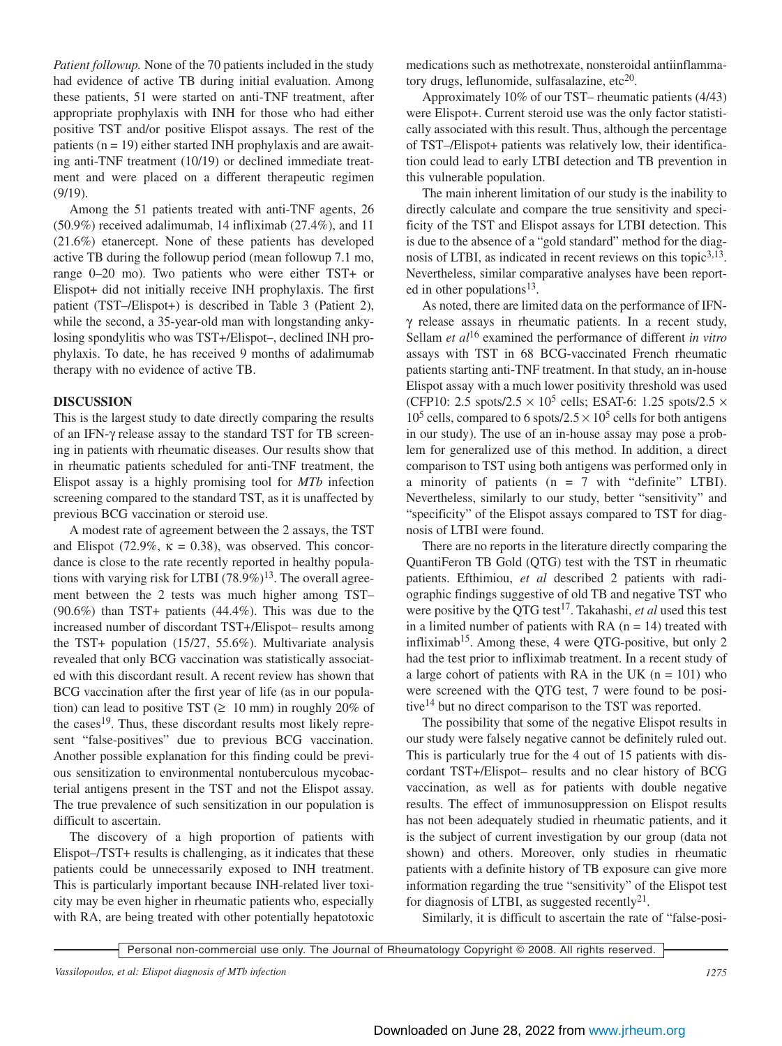*Patient followup.* None of the 70 patients included in the study had evidence of active TB during initial evaluation. Among these patients, 51 were started on anti-TNF treatment, after appropriate prophylaxis with INH for those who had either positive TST and/or positive Elispot assays. The rest of the patients  $(n = 19)$  either started INH prophylaxis and are awaiting anti-TNF treatment (10/19) or declined immediate treatment and were placed on a different therapeutic regimen (9/19).

Among the 51 patients treated with anti-TNF agents, 26 (50.9%) received adalimumab, 14 infliximab (27.4%), and 11 (21.6%) etanercept. None of these patients has developed active TB during the followup period (mean followup 7.1 mo, range 0–20 mo). Two patients who were either TST+ or Elispot+ did not initially receive INH prophylaxis. The first patient (TST–/Elispot+) is described in Table 3 (Patient 2), while the second, a 35-year-old man with longstanding ankylosing spondylitis who was TST+/Elispot–, declined INH prophylaxis. To date, he has received 9 months of adalimumab therapy with no evidence of active TB.

## **DISCUSSION**

This is the largest study to date directly comparing the results of an IFN-γ release assay to the standard TST for TB screening in patients with rheumatic diseases. Our results show that in rheumatic patients scheduled for anti-TNF treatment, the Elispot assay is a highly promising tool for *MTb* infection screening compared to the standard TST, as it is unaffected by previous BCG vaccination or steroid use.

A modest rate of agreement between the 2 assays, the TST and Elispot (72.9%,  $\kappa = 0.38$ ), was observed. This concordance is close to the rate recently reported in healthy populations with varying risk for LTBI  $(78.9\%)^{13}$ . The overall agreement between the 2 tests was much higher among TST– (90.6%) than TST+ patients (44.4%). This was due to the increased number of discordant TST+/Elispot– results among the TST+ population (15/27, 55.6%). Multivariate analysis revealed that only BCG vaccination was statistically associated with this discordant result. A recent review has shown that BCG vaccination after the first year of life (as in our population) can lead to positive TST ( $\geq 10$  mm) in roughly 20% of the cases<sup>19</sup>. Thus, these discordant results most likely represent "false-positives" due to previous BCG vaccination. Another possible explanation for this finding could be previous sensitization to environmental nontuberculous mycobacterial antigens present in the TST and not the Elispot assay. The true prevalence of such sensitization in our population is difficult to ascertain.

The discovery of a high proportion of patients with Elispot–/TST+ results is challenging, as it indicates that these patients could be unnecessarily exposed to INH treatment. This is particularly important because INH-related liver toxicity may be even higher in rheumatic patients who, especially with RA, are being treated with other potentially hepatotoxic medications such as methotrexate, nonsteroidal antiinflammatory drugs, leflunomide, sulfasalazine, etc $^{20}$ .

Approximately 10% of our TST– rheumatic patients (4/43) were Elispot+. Current steroid use was the only factor statistically associated with this result. Thus, although the percentage of TST–/Elispot+ patients was relatively low, their identification could lead to early LTBI detection and TB prevention in this vulnerable population.

The main inherent limitation of our study is the inability to directly calculate and compare the true sensitivity and specificity of the TST and Elispot assays for LTBI detection. This is due to the absence of a "gold standard" method for the diagnosis of LTBI, as indicated in recent reviews on this topic<sup>3,13</sup>. Nevertheless, similar comparative analyses have been reported in other populations<sup>13</sup>.

As noted, there are limited data on the performance of IFNγ release assays in rheumatic patients. In a recent study, Sellam *et al*<sup>16</sup> examined the performance of different *in vitro* assays with TST in 68 BCG-vaccinated French rheumatic patients starting anti-TNF treatment. In that study, an in-house Elispot assay with a much lower positivity threshold was used (CFP10: 2.5 spots/2.5  $\times$  10<sup>5</sup> cells; ESAT-6: 1.25 spots/2.5  $\times$  $10^5$  cells, compared to 6 spots/2.5  $\times$  10<sup>5</sup> cells for both antigens in our study). The use of an in-house assay may pose a problem for generalized use of this method. In addition, a direct comparison to TST using both antigens was performed only in a minority of patients  $(n = 7 \text{ with "definite" LTBI}).$ Nevertheless, similarly to our study, better "sensitivity" and "specificity" of the Elispot assays compared to TST for diagnosis of LTBI were found.

There are no reports in the literature directly comparing the QuantiFeron TB Gold (QTG) test with the TST in rheumatic patients. Efthimiou, *et al* described 2 patients with radiographic findings suggestive of old TB and negative TST who were positive by the OTG test<sup>17</sup>. Takahashi, *et al* used this test in a limited number of patients with RA  $(n = 14)$  treated with infliximab15. Among these, 4 were QTG-positive, but only 2 had the test prior to infliximab treatment. In a recent study of a large cohort of patients with RA in the UK  $(n = 101)$  who were screened with the QTG test, 7 were found to be positive<sup>14</sup> but no direct comparison to the TST was reported.

The possibility that some of the negative Elispot results in our study were falsely negative cannot be definitely ruled out. This is particularly true for the 4 out of 15 patients with discordant TST+/Elispot– results and no clear history of BCG vaccination, as well as for patients with double negative results. The effect of immunosuppression on Elispot results has not been adequately studied in rheumatic patients, and it is the subject of current investigation by our group (data not shown) and others. Moreover, only studies in rheumatic patients with a definite history of TB exposure can give more information regarding the true "sensitivity" of the Elispot test for diagnosis of LTBI, as suggested recently $2<sup>1</sup>$ .

Similarly, it is difficult to ascertain the rate of "false-posi-